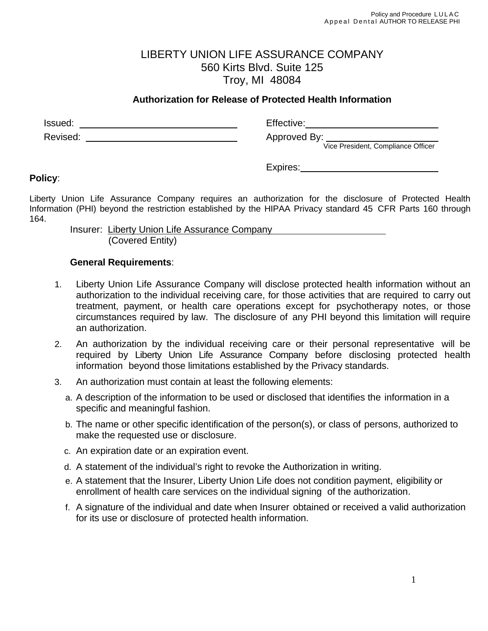## LIBERTY UNION LIFE ASSURANCE COMPANY 560 Kirts Blvd. Suite 125 Troy, MI 48084

## **Authorization for Release of Protected Health Information**

Issued: The Communication of the Communication of the Effective: The Communication of the Communication of the Communication of the Communication of the Communication of the Communication of the Communication of the Commun Revised: <u>Approved By:</u> Approved By: Vice President, Compliance Officer Vice President, Compliance Officer

Expires: The state of the state of the state of the state of the state of the state of the state of the state of the state of the state of the state of the state of the state of the state of the state of the state of the s

## **Policy**:

Liberty Union Life Assurance Company requires an authorization for the disclosure of Protected Health Information (PHI) beyond the restriction established by the HIPAA Privacy standard 45 CFR Parts 160 through 164.

Insurer:Liberty Union Life Assurance Company (Covered Entity)

## **General Requirements**:

- 1. Liberty Union Life Assurance Company will disclose protected health information without an authorization to the individual receiving care, for those activities that are required to carry out treatment, payment, or health care operations except for psychotherapy notes, or those circumstances required by law. The disclosure of any PHI beyond this limitation will require an authorization.
- 2. An authorization by the individual receiving care or their personal representative will be required by Liberty Union Life Assurance Company before disclosing protected health information beyond those limitations established by the Privacy standards.
- 3. An authorization must contain at least the following elements:
	- a. A description of the information to be used or disclosed that identifies the information in a specific and meaningful fashion.
	- b. The name or other specific identification of the person(s), or class of persons, authorized to make the requested use or disclosure.
	- c. An expiration date or an expiration event.
	- d. A statement of the individual's right to revoke the Authorization in writing.
	- e. A statement that the Insurer, Liberty Union Life does not condition payment, eligibility or enrollment of health care services on the individual signing of the authorization.
	- f. A signature of the individual and date when Insurer obtained or received a valid authorization for its use or disclosure of protected health information.